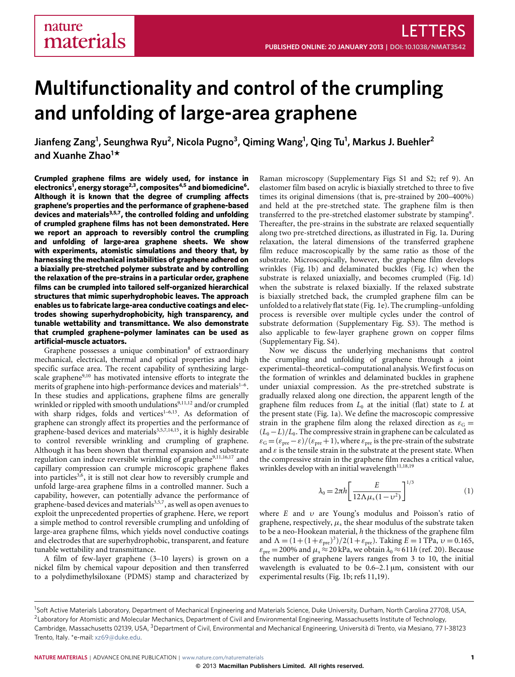# **Multifunctionality and control of the crumpling and unfolding of large-area graphene**

**Jianfeng Zang<sup>1</sup> , Seunghwa Ryu<sup>2</sup> , Nicola Pugno<sup>3</sup> , Qiming Wang<sup>1</sup> , Qing Tu<sup>1</sup> , Markus J. Buehler<sup>2</sup> and Xuanhe Zhao<sup>1</sup> \***

**Crumpled graphene films are widely used, for instance in electronics[1](#page-4-0) , energy storage[2](#page-4-1)[,3](#page-4-2), composites[4,](#page-4-3)[5](#page-4-4) and biomedicine[6](#page-4-5) . Although it is known that the degree of crumpling affects graphene's properties and the performance of graphene-based devices and materials[3,](#page-4-2)[5,](#page-4-4)[7](#page-4-6), the controlled folding and unfolding of crumpled graphene films has not been demonstrated. Here we report an approach to reversibly control the crumpling and unfolding of large-area graphene sheets. We show with experiments, atomistic simulations and theory that, by harnessing the mechanical instabilities of graphene adhered on a biaxially pre-stretched polymer substrate and by controlling the relaxation of the pre-strains in a particular order, graphene films can be crumpled into tailored self-organized hierarchical structures that mimic superhydrophobic leaves. The approach enables us to fabricate large-area conductive coatings and electrodes showing superhydrophobicity, high transparency, and tunable wettability and transmittance. We also demonstrate that crumpled graphene–polymer laminates can be used as artificial-muscle actuators.**

Graphene possesses a unique combination<sup>[8](#page-4-7)</sup> of extraordinary mechanical, electrical, thermal and optical properties and high specific surface area. The recent capability of synthesizing large-scale graphene<sup>[9,](#page-4-8)[10](#page-4-9)</sup> has motivated intensive efforts to integrate the merits of graphene into high-performance devices and materials<sup>[1–](#page-4-0)[6](#page-4-5)</sup>. In these studies and applications, graphene films are generally wrinkled or rippled with smooth undulations<sup>[9,](#page-4-8)[11](#page-4-10)[,12](#page-4-11)</sup> and/or crumpled with sharp ridges, folds and vertices $1-6,13$  $1-6,13$  $1-6,13$ . As deformation of graphene can strongly affect its properties and the performance of graphene-based devices and materials $3,5,7,14,15$  $3,5,7,14,15$  $3,5,7,14,15$  $3,5,7,14,15$  $3,5,7,14,15$ , it is highly desirable to control reversible wrinkling and crumpling of graphene. Although it has been shown that thermal expansion and substrate regulation can induce reversible wrinkling of graphene<sup>[9,](#page-4-8)[11](#page-4-10)[,16,](#page-4-15)[17](#page-4-16)</sup> and capillary compression can crumple microscopic graphene flakes into particles<sup>[3](#page-4-2)[,6](#page-4-5)</sup>, it is still not clear how to reversibly crumple and unfold large-area graphene films in a controlled manner. Such a capability, however, can potentially advance the performance of graphene-based devices and materials<sup>[3](#page-4-2)[,5](#page-4-4)[,7](#page-4-6)</sup>, as well as open avenues to exploit the unprecedented properties of graphene. Here, we report a simple method to control reversible crumpling and unfolding of large-area graphene films, which yields novel conductive coatings and electrodes that are superhydrophobic, transparent, and feature tunable wettability and transmittance.

A film of few-layer graphene (3–10 layers) is grown on a nickel film by chemical vapour deposition and then transferred to a polydimethylsiloxane (PDMS) stamp and characterized by Raman microscopy (Supplementary Figs S1 and S2; ref [9\)](#page-4-8). An elastomer film based on acrylic is biaxially stretched to three to five times its original dimensions (that is, pre-strained by 200–400%) and held at the pre-stretched state. The graphene film is then transferred to the pre-stretched elastomer substrate by stamping<sup>[9](#page-4-8)</sup>. Thereafter, the pre-strains in the substrate are relaxed sequentially along two pre-stretched directions, as illustrated in [Fig. 1a](#page-1-0). During relaxation, the lateral dimensions of the transferred graphene film reduce macroscopically by the same ratio as those of the substrate. Microscopically, however, the graphene film develops wrinkles [\(Fig. 1b](#page-1-0)) and delaminated buckles [\(Fig. 1c](#page-1-0)) when the substrate is relaxed uniaxially, and becomes crumpled [\(Fig. 1d](#page-1-0)) when the substrate is relaxed biaxially. If the relaxed substrate is biaxially stretched back, the crumpled graphene film can be unfolded to a relatively flat state [\(Fig. 1e](#page-1-0)). The crumpling–unfolding process is reversible over multiple cycles under the control of substrate deformation (Supplementary Fig. S3). The method is also applicable to few-layer graphene grown on copper films (Supplementary Fig. S4).

Now we discuss the underlying mechanisms that control the crumpling and unfolding of graphene through a joint experimental–theoretical–computational analysis.We first focus on the formation of wrinkles and delaminated buckles in graphene under uniaxial compression. As the pre-stretched substrate is gradually relaxed along one direction, the apparent length of the graphene film reduces from *L*<sup>0</sup> at the initial (flat) state to *L* at the present state [\(Fig. 1a](#page-1-0)). We define the macroscopic compressive strain in the graphene film along the relaxed direction as  $\varepsilon_G$  =  $(L_0 - L)/L_0$ . The compressive strain in graphene can be calculated as  $\varepsilon_G = (\varepsilon_{pre} - \varepsilon)/(\varepsilon_{pre} + 1)$ , where  $\varepsilon_{pre}$  is the pre-strain of the substrate and  $\varepsilon$  is the tensile strain in the substrate at the present state. When the compressive strain in the graphene film reaches a critical value, wrinkles develop with an initial wavelength $11,18,19$  $11,18,19$  $11,18,19$ 

$$
\lambda_0 = 2\pi h \left[ \frac{E}{12\Lambda \mu_s (1 - \nu^2)} \right]^{1/3}
$$
 (1)

where *E* and υ are Young's modulus and Poisson's ratio of graphene, respectively,  $\mu_s$  the shear modulus of the substrate taken to be a neo-Hookean material, *h* the thickness of the graphene film and  $\Lambda = (1 + (1 + \varepsilon_{pre})^3)/2(1 + \varepsilon_{pre})$ . Taking  $E = 1$  TPa,  $v = 0.165$ ,  $\varepsilon_{\text{pre}}$  = 200% and  $\mu_s$   $\approx$  20 kPa, we obtain  $\lambda_0 \approx$  611*h* (ref. [20\)](#page-4-19). Because the number of graphene layers ranges from 3 to 10, the initial wavelength is evaluated to be  $0.6-2.1 \,\mu m$ , consistent with our experimental results [\(Fig. 1b](#page-1-0); refs [11,](#page-4-10)[19\)](#page-4-18).

<sup>&</sup>lt;sup>1</sup>Soft Active Materials Laboratory, Department of Mechanical Engineering and Materials Science, Duke University, Durham, North Carolina 27708, USA, <sup>2</sup> Laboratory for Atomistic and Molecular Mechanics, Department of Civil and Environmental Engineering, Massachusetts Institute of Technology, Cambridge, Massachusetts 02139, USA, <sup>3</sup>Department of Civil, Environmental and Mechanical Engineering, Università di Trento, via Mesiano, 77 I-38123 Trento, Italy. \*e-mail: [xz69@duke.edu.](mailto:xz69@duke.edu)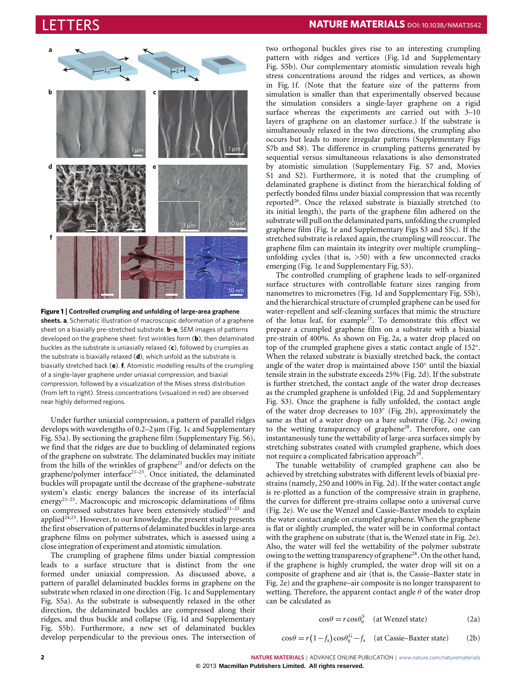

<span id="page-1-0"></span>**Figure 1** | **Controlled crumpling and unfolding of large-area graphene sheets. a**, Schematic illustration of macroscopic deformation of a graphene sheet on a biaxially pre-stretched substrate. **b**–**e**, SEM images of patterns developed on the graphene sheet: first wrinkles form (**b**), then delaminated buckles as the substrate is uniaxially relaxed (**c**), followed by crumples as the substrate is biaxially relaxed (**d**), which unfold as the substrate is biaxially stretched back (**e**). **f**, Atomistic modelling results of the crumpling of a single-layer graphene under uniaxial compression, and biaxial compression, followed by a visualization of the Mises stress distribution (from left to right). Stress concentrations (visualized in red) are observed near highly deformed regions.

Under further uniaxial compression, a pattern of parallel ridges develops with wavelengths of 0.2–2 µm [\(Fig. 1c](#page-1-0) and Supplementary Fig. S5a). By sectioning the graphene film (Supplementary Fig. S6), we find that the ridges are due to buckling of delaminated regions of the graphene on substrate. The delaminated buckles may initiate from the hills of the wrinkles of graphene<sup>[21](#page-4-20)</sup> and/or defects on the graphene/polymer interface<sup>21-[23](#page-4-21)</sup>. Once initiated, the delaminated buckles will propagate until the decrease of the graphene–substrate system's elastic energy balances the increase of its interfacial energy<sup>[21–](#page-4-20)[23](#page-4-21)</sup>. Macroscopic and microscopic delaminations of films on compressed substrates have been extensively studied $21-23$  $21-23$  and applied $24,25$  $24,25$ . However, to our knowledge, the present study presents the first observation of patterns of delaminated buckles in large-area graphene films on polymer substrates, which is assessed using a close integration of experiment and atomistic simulation.

The crumpling of graphene films under biaxial compression leads to a surface structure that is distinct from the one formed under uniaxial compression. As discussed above, a pattern of parallel delaminated buckles forms in graphene on the substrate when relaxed in one direction [\(Fig. 1c](#page-1-0) and Supplementary Fig. S5a). As the substrate is subsequently relaxed in the other direction, the delaminated buckles are compressed along their ridges, and thus buckle and collapse [\(Fig. 1d](#page-1-0) and Supplementary Fig. S5b). Furthermore, a new set of delaminated buckles develop perpendicular to the previous ones. The intersection of two orthogonal buckles gives rise to an interesting crumpling pattern with ridges and vertices [\(Fig. 1d](#page-1-0) and Supplementary Fig. S5b). Our complementary atomistic simulation reveals high stress concentrations around the ridges and vertices, as shown in [Fig. 1f](#page-1-0). (Note that the feature size of the patterns from simulation is smaller than that experimentally observed because the simulation considers a single-layer graphene on a rigid surface whereas the experiments are carried out with 3–10 layers of graphene on an elastomer surface.) If the substrate is simultaneously relaxed in the two directions, the crumpling also occurs but leads to more irregular patterns (Supplementary Figs S7b and S8). The difference in crumpling patterns generated by sequential versus simultaneous relaxations is also demonstrated by atomistic simulation (Supplementary Fig. S7 and, Movies S1 and S2). Furthermore, it is noted that the crumpling of delaminated graphene is distinct from the hierarchical folding of perfectly bonded films under biaxial compression that was recently reported<sup>[26](#page-4-24)</sup>. Once the relaxed substrate is biaxially stretched (to its initial length), the parts of the graphene film adhered on the substrate will pull on the delaminated parts, unfolding the crumpled graphene film [\(Fig. 1e](#page-1-0) and Supplementary Figs S3 and S5c). If the stretched substrate is relaxed again, the crumpling will reoccur. The graphene film can maintain its integrity over multiple crumpling– unfolding cycles (that is,  $>50$ ) with a few unconnected cracks emerging [\(Fig. 1e](#page-1-0) and Supplementary Fig. S3).

The controlled crumpling of graphene leads to self-organized surface structures with controllable feature sizes ranging from nanometres to micrometres [\(Fig. 1d](#page-1-0) and Supplementary Fig. S5b), and the hierarchical structure of crumpled graphene can be used for water-repellent and self-cleaning surfaces that mimic the structure of the lotus leaf, for example<sup>[27](#page-4-25)</sup>. To demonstrate this effect we prepare a crumpled graphene film on a substrate with a biaxial pre-strain of 400%. As shown on [Fig. 2a](#page-2-0), a water drop placed on top of the crumpled graphene gives a static contact angle of 152°. When the relaxed substrate is biaxially stretched back, the contact angle of the water drop is maintained above 150◦ until the biaxial tensile strain in the substrate exceeds 25% [\(Fig. 2d](#page-2-0)). If the substrate is further stretched, the contact angle of the water drop decreases as the crumpled graphene is unfolded [\(Fig. 2d](#page-2-0) and Supplementary Fig. S3). Once the graphene is fully unfolded, the contact angle of the water drop decreases to 103◦ [\(Fig. 2b](#page-2-0)), approximately the same as that of a water drop on a bare substrate [\(Fig. 2c](#page-2-0)) owing to the wetting transparency of graphene<sup>[28](#page-4-26)</sup>. Therefore, one can instantaneously tune the wettability of large-area surfaces simply by stretching substrates coated with crumpled graphene, which does not require a complicated fabrication approach<sup>[29](#page-4-27)</sup>.

The tunable wettability of crumpled graphene can also be achieved by stretching substrates with different levels of biaxial prestrains (namely, 250 and 100% in [Fig. 2d](#page-2-0)). If the water contact angle is re-plotted as a function of the compressive strain in graphene, the curves for different pre-strains collapse onto a universal curve [\(Fig. 2e](#page-2-0)). We use the Wenzel and Cassie–Baxter models to explain the water contact angle on crumpled graphene. When the graphene is flat or slightly crumpled, the water will be in conformal contact with the graphene on substrate (that is, the Wenzel state in [Fig. 2e](#page-2-0)). Also, the water will feel the wettability of the polymer substrate owing to the wetting transparency of graphene<sup>[28](#page-4-26)</sup>. On the other hand, if the graphene is highly crumpled, the water drop will sit on a composite of graphene and air (that is, the Cassie–Baxter state in [Fig. 2e](#page-2-0)) and the graphene–air composite is no longer transparent to wetting. Therefore, the apparent contact angle  $\theta$  of the water drop can be calculated as

$$
\cos \theta = r \cos \theta_0^S \quad \text{(at Wenzel state)} \tag{2a}
$$

$$
\cos \theta = r \left( 1 - f_a \right) \cos \theta_0^G - f_a \quad \text{(at Cassie-Baster state)} \tag{2b}
$$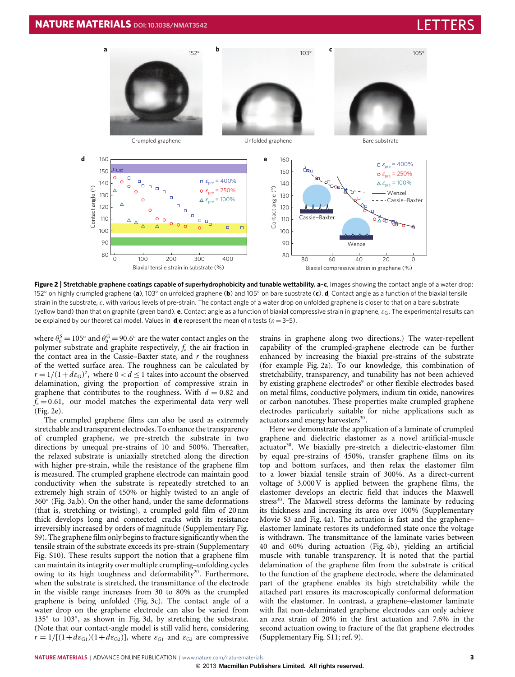

<span id="page-2-0"></span>**Figure 2** | **Stretchable graphene coatings capable of superhydrophobicity and tunable wettability. a**–**c**, Images showing the contact angle of a water drop: 152◦ on highly crumpled graphene (**a**), 103◦ on unfolded graphene (**b**) and 105◦ on bare substrate (**c**). **d**, Contact angle as a function of the biaxial tensile strain in the substrate, ε, with various levels of pre-strain. The contact angle of a water drop on unfolded graphene is closer to that on a bare substrate (yellow band) than that on graphite (green band). **e**, Contact angle as a function of biaxial compressive strain in graphene, εG. The experimental results can be explained by our theoretical model. Values in **d**,**e** represent the mean of *n* tests (*n* = 3–5).

where  $\theta_0^{\text{S}} = 105^{\circ}$  and  $\theta_0^{\text{G}} = 90.6^{\circ}$  are the water contact angles on the polymer substrate and graphite respectively, *f*<sup>a</sup> the air fraction in the contact area in the Cassie–Baxter state, and *r* the roughness of the wetted surface area. The roughness can be calculated by  $r = 1/(1 + d\epsilon_{\rm G})^2$ , where  $0 < d \le 1$  takes into account the observed delamination, giving the proportion of compressive strain in graphene that contributes to the roughness. With  $d = 0.82$  and  $f_a = 0.61$ , our model matches the experimental data very well [\(Fig. 2e](#page-2-0)).

The crumpled graphene films can also be used as extremely stretchable and transparent electrodes. To enhance the transparency of crumpled graphene, we pre-stretch the substrate in two directions by unequal pre-strains of 10 and 500%. Thereafter, the relaxed substrate is uniaxially stretched along the direction with higher pre-strain, while the resistance of the graphene film is measured. The crumpled graphene electrode can maintain good conductivity when the substrate is repeatedly stretched to an extremely high strain of 450% or highly twisted to an angle of 360◦ [\(Fig. 3a](#page-3-0),b). On the other hand, under the same deformations (that is, stretching or twisting), a crumpled gold film of 20 nm thick develops long and connected cracks with its resistance irreversibly increased by orders of magnitude (Supplementary Fig. S9). The graphene film only begins to fracture significantly when the tensile strain of the substrate exceeds its pre-strain (Supplementary Fig. S10). These results support the notion that a graphene film can maintain its integrity over multiple crumpling–unfolding cycles owing to its high toughness and deformability<sup>[20](#page-4-19)</sup>. Furthermore, when the substrate is stretched, the transmittance of the electrode in the visible range increases from 30 to 80% as the crumpled graphene is being unfolded [\(Fig. 3c](#page-3-0)). The contact angle of a water drop on the graphene electrode can also be varied from 135° to 103°, as shown in [Fig. 3d](#page-3-0), by stretching the substrate. (Note that our contact-angle model is still valid here, considering  $r = 1/[(1+d\epsilon_{\text{G1}})(1+d\epsilon_{\text{G2}})]$ , where  $\epsilon_{\text{G1}}$  and  $\epsilon_{\text{G2}}$  are compressive strains in graphene along two directions.) The water-repellent capability of the crumpled-graphene electrode can be further enhanced by increasing the biaxial pre-strains of the substrate (for example [Fig. 2a](#page-2-0)). To our knowledge, this combination of stretchability, transparency, and tunability has not been achieved by existing graphene electrodes<sup>[9](#page-4-8)</sup> or other flexible electrodes based on metal films, conductive polymers, indium tin oxide, nanowires or carbon nanotubes. These properties make crumpled graphene electrodes particularly suitable for niche applications such as actuators and energy harvesters<sup>[30](#page-4-28)</sup> .

Here we demonstrate the application of a laminate of crumpled graphene and dielectric elastomer as a novel artificial-muscle actuator<sup>[30](#page-4-28)</sup>. We biaxially pre-stretch a dielectric-elastomer film by equal pre-strains of 450%, transfer graphene films on its top and bottom surfaces, and then relax the elastomer film to a lower biaxial tensile strain of 300%. As a direct-current voltage of 3,000 V is applied between the graphene films, the elastomer develops an electric field that induces the Maxwell stress<sup>[30](#page-4-28)</sup>. The Maxwell stress deforms the laminate by reducing its thickness and increasing its area over 100% (Supplementary Movie S3 and [Fig. 4a](#page-3-1)). The actuation is fast and the graphene– elastomer laminate restores its undeformed state once the voltage is withdrawn. The transmittance of the laminate varies between 40 and 60% during actuation [\(Fig. 4b](#page-3-1)), yielding an artificial muscle with tunable transparency. It is noted that the partial delamination of the graphene film from the substrate is critical to the function of the graphene electrode, where the delaminated part of the graphene enables its high stretchability while the attached part ensures its macroscopically conformal deformation with the elastomer. In contrast, a graphene–elastomer laminate with flat non-delaminated graphene electrodes can only achieve an area strain of 20% in the first actuation and 7.6% in the second actuation owing to fracture of the flat graphene electrodes (Supplementary Fig. S11; ref. [9\)](#page-4-8).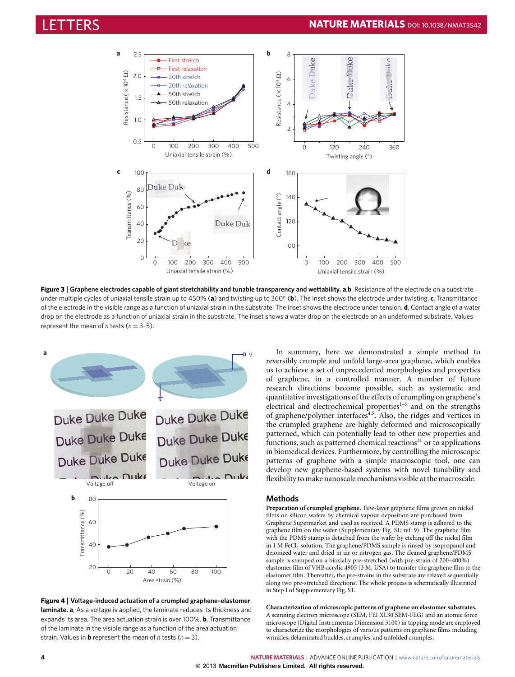

<span id="page-3-0"></span>**Figure 3** | **Graphene electrodes capable of giant stretchability and tunable transparency and wettability. a**,**b**, Resistance of the electrode on a substrate under multiple cycles of uniaxial tensile strain up to 450% (**a**) and twisting up to 360◦ (**b**). The inset shows the electrode under twisting. **c**, Transmittance of the electrode in the visible range as a function of uniaxial strain in the substrate. The inset shows the electrode under tension. **d**, Contact angle of a water drop on the electrode as a function of uniaxial strain in the substrate. The inset shows a water drop on the electrode on an undeformed substrate. Values represent the mean of *n* tests (*n* = 3–5).



<span id="page-3-1"></span>**Figure 4** | **Voltage-induced actuation of a crumpled graphene–elastomer laminate. a**, As a voltage is applied, the laminate reduces its thickness and expands its area. The area actuation strain is over 100%. **b**, Transmittance of the laminate in the visible range as a function of the area actuation strain. Values in **b** represent the mean of *n* tests ( $n = 3$ ).

In summary, here we demonstrated a simple method to reversibly crumple and unfold large-area graphene, which enables us to achieve a set of unprecedented morphologies and properties of graphene, in a controlled manner. A number of future research directions become possible, such as systematic and quantitative investigations of the effects of crumpling on graphene's electrical and electrochemical properties $1-3$  $1-3$  and on the strengths of graphene/polymer interfaces<sup>[4](#page-4-3)[,5](#page-4-4)</sup>. Also, the ridges and vertices in the crumpled graphene are highly deformed and microscopically patterned, which can potentially lead to other new properties and functions, such as patterned chemical reactions $31$  or to applications in biomedical devices. Furthermore, by controlling the microscopic patterns of graphene with a simple macroscopic tool, one can develop new graphene-based systems with novel tunability and flexibility to make nanoscale mechanisms visible at the macroscale.

### **Methods**

**Preparation of crumpled graphene.** Few-layer graphene films grown on nickel films on silicon wafers by chemical vapour deposition are purchased from Graphene Supermarket and used as received. A PDMS stamp is adhered to the graphene film on the wafer (Supplementary Fig. S1; ref. [9\)](#page-4-8). The graphene film with the PDMS stamp is detached from the wafer by etching off the nickel film in 1 M FeCl<sub>3</sub> solution. The graphene/PDMS sample is rinsed by isopropanol and deionized water and dried in air or nitrogen gas. The cleaned graphene/PDMS sample is stamped on a biaxially pre-stretched (with pre-strain of 200–400%) elastomer film of VHB acrylic 4905 (3 M, USA) to transfer the graphene film to the elastomer film. Thereafter, the pre-strains in the substrate are relaxed sequentially along two pre-stretched directions. The whole process is schematically illustrated in Step I of Supplementary Fig. S1.

**Characterization of microscopic patterns of graphene on elastomer substrates.** A scanning electron microscope (SEM, FEI XL30 SEM-FEG) and an atomic force microscope (Digital Instrumentas Dimension 3100) in tapping mode are employed to characterize the morphologies of various patterns on graphene films including wrinkles, delaminated buckles, crumples, and unfolded crumples.